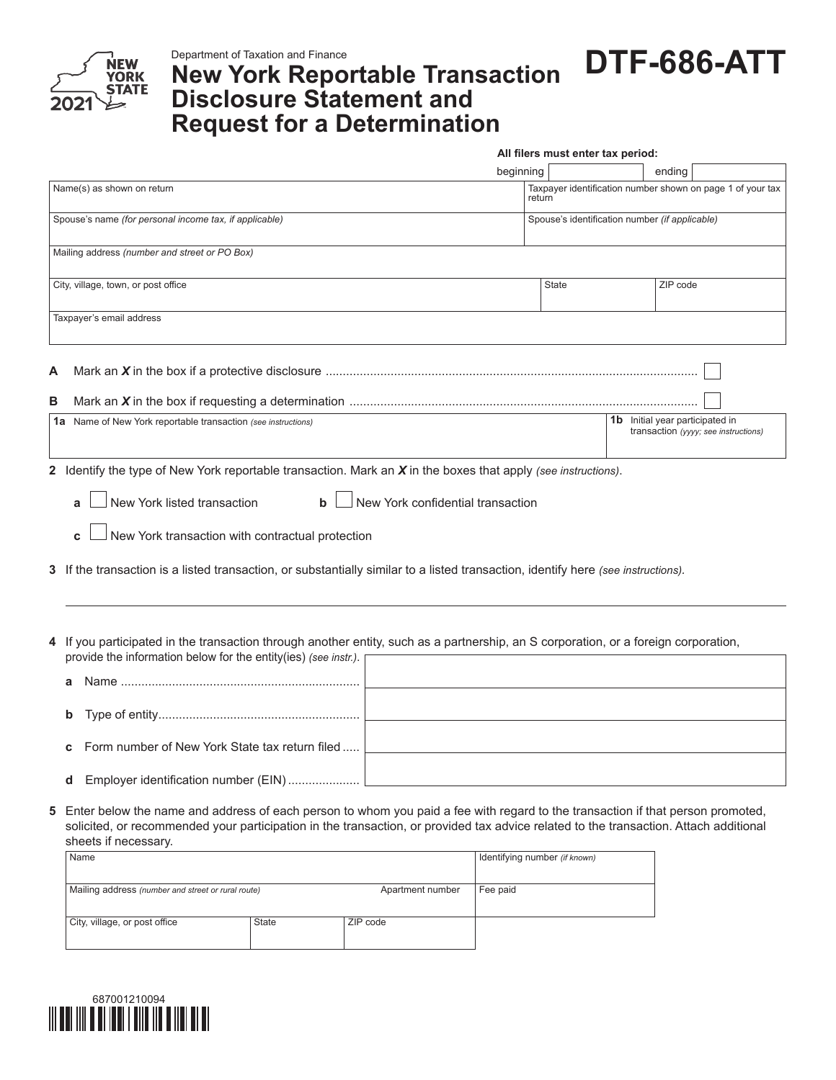

## **New York Reportable Transaction Disclosure Statement and Request for a Determination**

**DTF-686-ATT**

|        |                                                                                                                                                                                                                                                                                                   | All filers must enter tax period: |                                                |  |                                                                                |  |  |  |
|--------|---------------------------------------------------------------------------------------------------------------------------------------------------------------------------------------------------------------------------------------------------------------------------------------------------|-----------------------------------|------------------------------------------------|--|--------------------------------------------------------------------------------|--|--|--|
|        |                                                                                                                                                                                                                                                                                                   | beginning                         |                                                |  | ending                                                                         |  |  |  |
|        | Name(s) as shown on return                                                                                                                                                                                                                                                                        | return                            |                                                |  | Taxpayer identification number shown on page 1 of your tax                     |  |  |  |
|        | Spouse's name (for personal income tax, if applicable)                                                                                                                                                                                                                                            |                                   | Spouse's identification number (if applicable) |  |                                                                                |  |  |  |
|        | Mailing address (number and street or PO Box)                                                                                                                                                                                                                                                     |                                   |                                                |  |                                                                                |  |  |  |
|        | City, village, town, or post office                                                                                                                                                                                                                                                               |                                   | <b>State</b>                                   |  | ZIP code                                                                       |  |  |  |
|        | Taxpayer's email address                                                                                                                                                                                                                                                                          |                                   |                                                |  |                                                                                |  |  |  |
| A<br>в |                                                                                                                                                                                                                                                                                                   |                                   |                                                |  |                                                                                |  |  |  |
|        |                                                                                                                                                                                                                                                                                                   |                                   |                                                |  |                                                                                |  |  |  |
|        | 1a Name of New York reportable transaction (see instructions)                                                                                                                                                                                                                                     |                                   |                                                |  | <b>1b</b> Initial year participated in<br>transaction (yyyy; see instructions) |  |  |  |
|        | New York listed transaction<br>New York confidential transaction<br>$\mathbf b$<br>New York transaction with contractual protection<br>3 If the transaction is a listed transaction, or substantially similar to a listed transaction, identify here (see instructions).                          |                                   |                                                |  |                                                                                |  |  |  |
|        | 4 If you participated in the transaction through another entity, such as a partnership, an S corporation, or a foreign corporation,<br>provide the information below for the entity(ies) (see instr.).                                                                                            |                                   |                                                |  |                                                                                |  |  |  |
|        | а                                                                                                                                                                                                                                                                                                 |                                   |                                                |  |                                                                                |  |  |  |
|        | b                                                                                                                                                                                                                                                                                                 |                                   |                                                |  |                                                                                |  |  |  |
|        | Form number of New York State tax return filed                                                                                                                                                                                                                                                    |                                   |                                                |  |                                                                                |  |  |  |
|        | Employer identification number (EIN)<br>d                                                                                                                                                                                                                                                         |                                   |                                                |  |                                                                                |  |  |  |
|        | 5 Enter below the name and address of each person to whom you paid a fee with regard to the transaction if that person promoted,<br>solicited, or recommended your participation in the transaction, or provided tax advice related to the transaction. Attach additional<br>sheets if necessary. |                                   |                                                |  |                                                                                |  |  |  |
|        | Name                                                                                                                                                                                                                                                                                              | Identifying number (if known)     |                                                |  |                                                                                |  |  |  |

| Name                                               |              |                  | Identifying number (if known) |
|----------------------------------------------------|--------------|------------------|-------------------------------|
| Mailing address (number and street or rural route) |              | Apartment number | Fee paid                      |
| City, village, or post office                      | <b>State</b> | ZIP code         |                               |